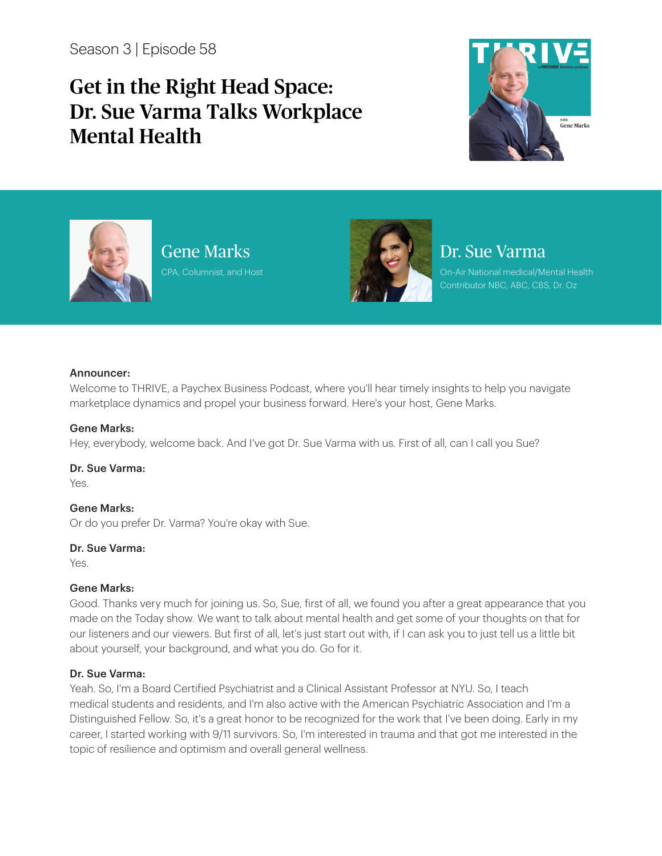Season 3 | Episode 58

# Get in the Right Head Space: Dr. Sue Varma Talks Workplace Mental Health





Gene Marks CPA, Columnist, and Host



## Dr. Sue Varma

On-Air National medical/Mental Health Contributor NBC, ABC, CBS, Dr. Oz

#### Announcer:

Welcome to THRIVE, a Paychex Business Podcast, where you'll hear timely insights to help you navigate marketplace dynamics and propel your business forward. Here's your host, Gene Marks.

#### Gene Marks:

Hey, everybody, welcome back. And I've got Dr. Sue Varma with us. First of all, can I call you Sue?

Dr. Sue Varma:

Yes.

## Gene Marks:

Or do you prefer Dr. Varma? You're okay with Sue.

#### Dr. Sue Varma:

Yes.

## Gene Marks:

Good. Thanks very much for joining us. So, Sue, first of all, we found you after a great appearance that you made on the Today show. We want to talk about mental health and get some of your thoughts on that for our listeners and our viewers. But first of all, let's just start out with, if I can ask you to just tell us a little bit about yourself, your background, and what you do. Go for it.

## Dr. Sue Varma:

Yeah. So, I'm a Board Certified Psychiatrist and a Clinical Assistant Professor at NYU. So, I teach medical students and residents, and I'm also active with the American Psychiatric Association and I'm a Distinguished Fellow. So, it's a great honor to be recognized for the work that I've been doing. Early in my career, I started working with 9/11 survivors. So, I'm interested in trauma and that got me interested in the topic of resilience and optimism and overall general wellness.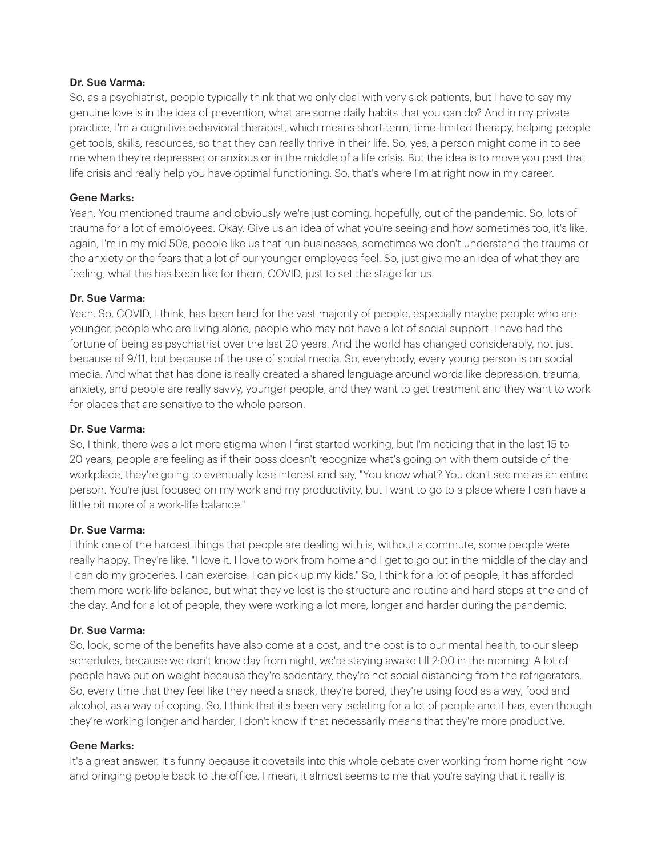So, as a psychiatrist, people typically think that we only deal with very sick patients, but I have to say my genuine love is in the idea of prevention, what are some daily habits that you can do? And in my private practice, I'm a cognitive behavioral therapist, which means short-term, time-limited therapy, helping people get tools, skills, resources, so that they can really thrive in their life. So, yes, a person might come in to see me when they're depressed or anxious or in the middle of a life crisis. But the idea is to move you past that life crisis and really help you have optimal functioning. So, that's where I'm at right now in my career.

## Gene Marks:

Yeah. You mentioned trauma and obviously we're just coming, hopefully, out of the pandemic. So, lots of trauma for a lot of employees. Okay. Give us an idea of what you're seeing and how sometimes too, it's like, again, I'm in my mid 50s, people like us that run businesses, sometimes we don't understand the trauma or the anxiety or the fears that a lot of our younger employees feel. So, just give me an idea of what they are feeling, what this has been like for them, COVID, just to set the stage for us.

### Dr. Sue Varma:

Yeah. So, COVID, I think, has been hard for the vast majority of people, especially maybe people who are younger, people who are living alone, people who may not have a lot of social support. I have had the fortune of being as psychiatrist over the last 20 years. And the world has changed considerably, not just because of 9/11, but because of the use of social media. So, everybody, every young person is on social media. And what that has done is really created a shared language around words like depression, trauma, anxiety, and people are really savvy, younger people, and they want to get treatment and they want to work for places that are sensitive to the whole person.

#### Dr. Sue Varma:

So, I think, there was a lot more stigma when I first started working, but I'm noticing that in the last 15 to 20 years, people are feeling as if their boss doesn't recognize what's going on with them outside of the workplace, they're going to eventually lose interest and say, "You know what? You don't see me as an entire person. You're just focused on my work and my productivity, but I want to go to a place where I can have a little bit more of a work-life balance."

#### Dr. Sue Varma:

I think one of the hardest things that people are dealing with is, without a commute, some people were really happy. They're like, "I love it. I love to work from home and I get to go out in the middle of the day and I can do my groceries. I can exercise. I can pick up my kids." So, I think for a lot of people, it has afforded them more work-life balance, but what they've lost is the structure and routine and hard stops at the end of the day. And for a lot of people, they were working a lot more, longer and harder during the pandemic.

#### Dr. Sue Varma:

So, look, some of the benefits have also come at a cost, and the cost is to our mental health, to our sleep schedules, because we don't know day from night, we're staying awake till 2:00 in the morning. A lot of people have put on weight because they're sedentary, they're not social distancing from the refrigerators. So, every time that they feel like they need a snack, they're bored, they're using food as a way, food and alcohol, as a way of coping. So, I think that it's been very isolating for a lot of people and it has, even though they're working longer and harder, I don't know if that necessarily means that they're more productive.

#### Gene Marks:

It's a great answer. It's funny because it dovetails into this whole debate over working from home right now and bringing people back to the office. I mean, it almost seems to me that you're saying that it really is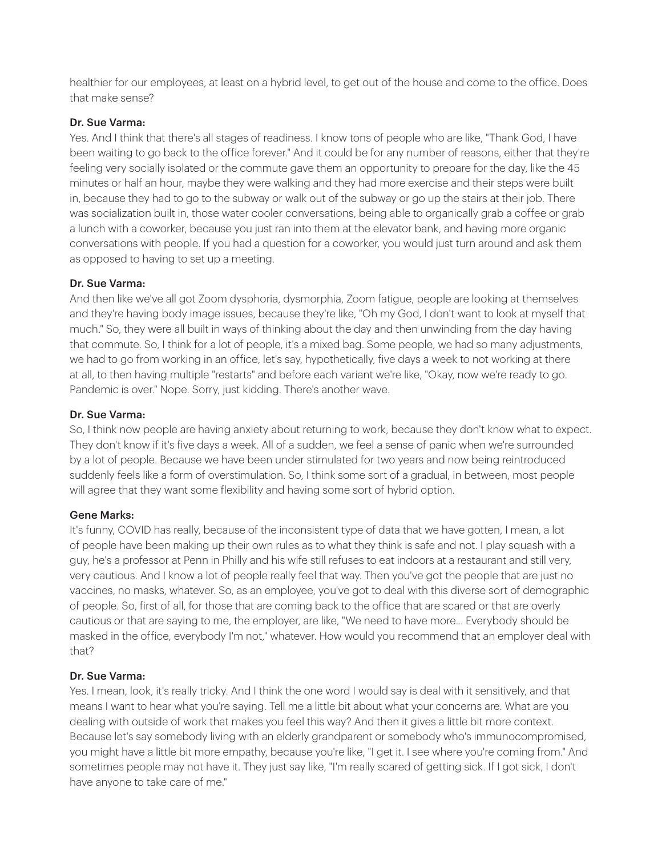healthier for our employees, at least on a hybrid level, to get out of the house and come to the office. Does that make sense?

## Dr. Sue Varma:

Yes. And I think that there's all stages of readiness. I know tons of people who are like, "Thank God, I have been waiting to go back to the office forever." And it could be for any number of reasons, either that they're feeling very socially isolated or the commute gave them an opportunity to prepare for the day, like the 45 minutes or half an hour, maybe they were walking and they had more exercise and their steps were built in, because they had to go to the subway or walk out of the subway or go up the stairs at their job. There was socialization built in, those water cooler conversations, being able to organically grab a coffee or grab a lunch with a coworker, because you just ran into them at the elevator bank, and having more organic conversations with people. If you had a question for a coworker, you would just turn around and ask them as opposed to having to set up a meeting.

### Dr. Sue Varma:

And then like we've all got Zoom dysphoria, dysmorphia, Zoom fatigue, people are looking at themselves and they're having body image issues, because they're like, "Oh my God, I don't want to look at myself that much." So, they were all built in ways of thinking about the day and then unwinding from the day having that commute. So, I think for a lot of people, it's a mixed bag. Some people, we had so many adjustments, we had to go from working in an office, let's say, hypothetically, five days a week to not working at there at all, to then having multiple "restarts" and before each variant we're like, "Okay, now we're ready to go. Pandemic is over." Nope. Sorry, just kidding. There's another wave.

#### Dr. Sue Varma:

So, I think now people are having anxiety about returning to work, because they don't know what to expect. They don't know if it's five days a week. All of a sudden, we feel a sense of panic when we're surrounded by a lot of people. Because we have been under stimulated for two years and now being reintroduced suddenly feels like a form of overstimulation. So, I think some sort of a gradual, in between, most people will agree that they want some flexibility and having some sort of hybrid option.

## Gene Marks:

It's funny, COVID has really, because of the inconsistent type of data that we have gotten, I mean, a lot of people have been making up their own rules as to what they think is safe and not. I play squash with a guy, he's a professor at Penn in Philly and his wife still refuses to eat indoors at a restaurant and still very, very cautious. And I know a lot of people really feel that way. Then you've got the people that are just no vaccines, no masks, whatever. So, as an employee, you've got to deal with this diverse sort of demographic of people. So, first of all, for those that are coming back to the office that are scared or that are overly cautious or that are saying to me, the employer, are like, "We need to have more... Everybody should be masked in the office, everybody I'm not," whatever. How would you recommend that an employer deal with that?

## Dr. Sue Varma:

Yes. I mean, look, it's really tricky. And I think the one word I would say is deal with it sensitively, and that means I want to hear what you're saying. Tell me a little bit about what your concerns are. What are you dealing with outside of work that makes you feel this way? And then it gives a little bit more context. Because let's say somebody living with an elderly grandparent or somebody who's immunocompromised, you might have a little bit more empathy, because you're like, "I get it. I see where you're coming from." And sometimes people may not have it. They just say like, "I'm really scared of getting sick. If I got sick, I don't have anyone to take care of me."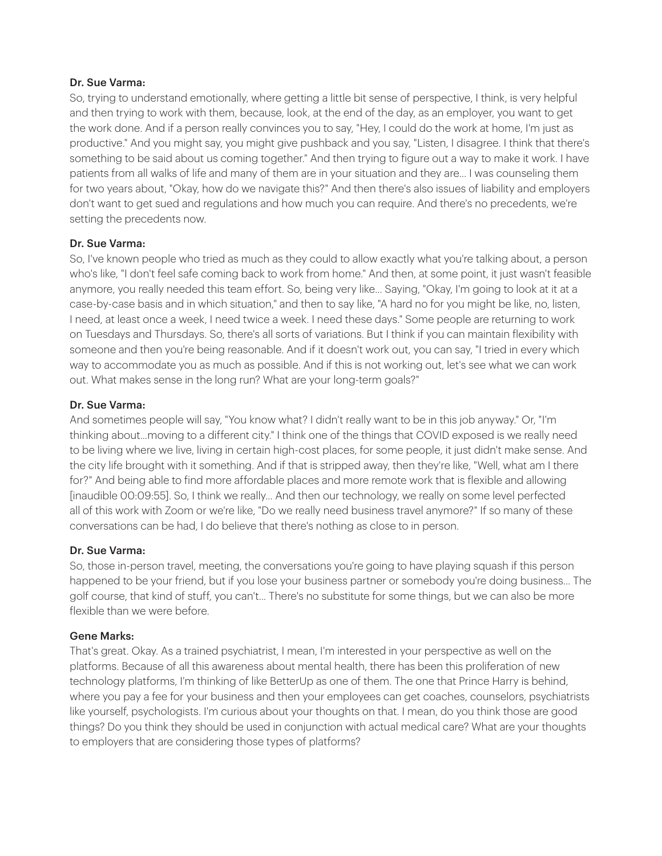So, trying to understand emotionally, where getting a little bit sense of perspective, I think, is very helpful and then trying to work with them, because, look, at the end of the day, as an employer, you want to get the work done. And if a person really convinces you to say, "Hey, I could do the work at home, I'm just as productive." And you might say, you might give pushback and you say, "Listen, I disagree. I think that there's something to be said about us coming together." And then trying to figure out a way to make it work. I have patients from all walks of life and many of them are in your situation and they are... I was counseling them for two years about, "Okay, how do we navigate this?" And then there's also issues of liability and employers don't want to get sued and regulations and how much you can require. And there's no precedents, we're setting the precedents now.

## Dr. Sue Varma:

So, I've known people who tried as much as they could to allow exactly what you're talking about, a person who's like, "I don't feel safe coming back to work from home." And then, at some point, it just wasn't feasible anymore, you really needed this team effort. So, being very like... Saying, "Okay, I'm going to look at it at a case-by-case basis and in which situation," and then to say like, "A hard no for you might be like, no, listen, I need, at least once a week, I need twice a week. I need these days." Some people are returning to work on Tuesdays and Thursdays. So, there's all sorts of variations. But I think if you can maintain flexibility with someone and then you're being reasonable. And if it doesn't work out, you can say, "I tried in every which way to accommodate you as much as possible. And if this is not working out, let's see what we can work out. What makes sense in the long run? What are your long-term goals?"

### Dr. Sue Varma:

And sometimes people will say, "You know what? I didn't really want to be in this job anyway." Or, "I'm thinking about...moving to a different city." I think one of the things that COVID exposed is we really need to be living where we live, living in certain high-cost places, for some people, it just didn't make sense. And the city life brought with it something. And if that is stripped away, then they're like, "Well, what am I there for?" And being able to find more affordable places and more remote work that is flexible and allowing [inaudible 00:09:55]. So, I think we really... And then our technology, we really on some level perfected all of this work with Zoom or we're like, "Do we really need business travel anymore?" If so many of these conversations can be had, I do believe that there's nothing as close to in person.

## Dr. Sue Varma:

So, those in-person travel, meeting, the conversations you're going to have playing squash if this person happened to be your friend, but if you lose your business partner or somebody you're doing business... The golf course, that kind of stuff, you can't... There's no substitute for some things, but we can also be more flexible than we were before.

#### Gene Marks:

That's great. Okay. As a trained psychiatrist, I mean, I'm interested in your perspective as well on the platforms. Because of all this awareness about mental health, there has been this proliferation of new technology platforms, I'm thinking of like BetterUp as one of them. The one that Prince Harry is behind, where you pay a fee for your business and then your employees can get coaches, counselors, psychiatrists like yourself, psychologists. I'm curious about your thoughts on that. I mean, do you think those are good things? Do you think they should be used in conjunction with actual medical care? What are your thoughts to employers that are considering those types of platforms?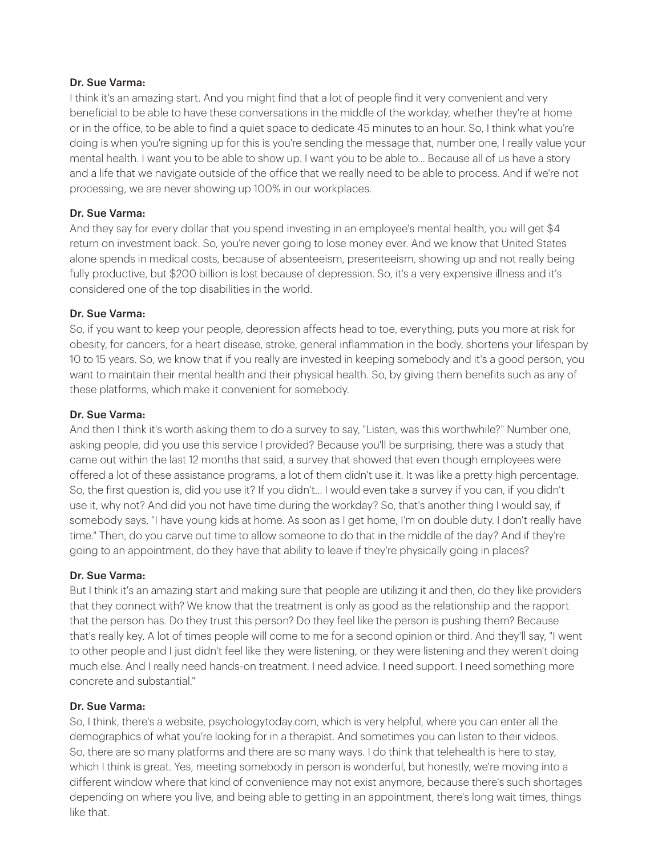I think it's an amazing start. And you might find that a lot of people find it very convenient and very beneficial to be able to have these conversations in the middle of the workday, whether they're at home or in the office, to be able to find a quiet space to dedicate 45 minutes to an hour. So, I think what you're doing is when you're signing up for this is you're sending the message that, number one, I really value your mental health. I want you to be able to show up. I want you to be able to... Because all of us have a story and a life that we navigate outside of the office that we really need to be able to process. And if we're not processing, we are never showing up 100% in our workplaces.

## Dr. Sue Varma:

And they say for every dollar that you spend investing in an employee's mental health, you will get \$4 return on investment back. So, you're never going to lose money ever. And we know that United States alone spends in medical costs, because of absenteeism, presenteeism, showing up and not really being fully productive, but \$200 billion is lost because of depression. So, it's a very expensive illness and it's considered one of the top disabilities in the world.

### Dr. Sue Varma:

So, if you want to keep your people, depression affects head to toe, everything, puts you more at risk for obesity, for cancers, for a heart disease, stroke, general inflammation in the body, shortens your lifespan by 10 to 15 years. So, we know that if you really are invested in keeping somebody and it's a good person, you want to maintain their mental health and their physical health. So, by giving them benefits such as any of these platforms, which make it convenient for somebody.

#### Dr. Sue Varma:

And then I think it's worth asking them to do a survey to say, "Listen, was this worthwhile?" Number one, asking people, did you use this service I provided? Because you'll be surprising, there was a study that came out within the last 12 months that said, a survey that showed that even though employees were offered a lot of these assistance programs, a lot of them didn't use it. It was like a pretty high percentage. So, the first question is, did you use it? If you didn't... I would even take a survey if you can, if you didn't use it, why not? And did you not have time during the workday? So, that's another thing I would say, if somebody says, "I have young kids at home. As soon as I get home, I'm on double duty. I don't really have time." Then, do you carve out time to allow someone to do that in the middle of the day? And if they're going to an appointment, do they have that ability to leave if they're physically going in places?

#### Dr. Sue Varma:

But I think it's an amazing start and making sure that people are utilizing it and then, do they like providers that they connect with? We know that the treatment is only as good as the relationship and the rapport that the person has. Do they trust this person? Do they feel like the person is pushing them? Because that's really key. A lot of times people will come to me for a second opinion or third. And they'll say, "I went to other people and I just didn't feel like they were listening, or they were listening and they weren't doing much else. And I really need hands-on treatment. I need advice. I need support. I need something more concrete and substantial."

#### Dr. Sue Varma:

So, I think, there's a website, psychologytoday.com, which is very helpful, where you can enter all the demographics of what you're looking for in a therapist. And sometimes you can listen to their videos. So, there are so many platforms and there are so many ways. I do think that telehealth is here to stay, which I think is great. Yes, meeting somebody in person is wonderful, but honestly, we're moving into a different window where that kind of convenience may not exist anymore, because there's such shortages depending on where you live, and being able to getting in an appointment, there's long wait times, things like that.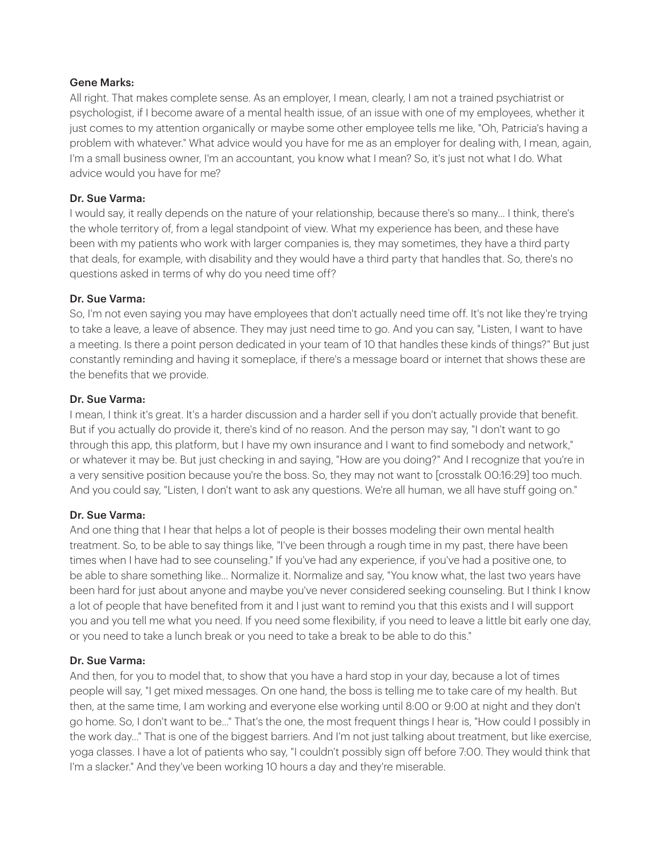#### Gene Marks:

All right. That makes complete sense. As an employer, I mean, clearly, I am not a trained psychiatrist or psychologist, if I become aware of a mental health issue, of an issue with one of my employees, whether it just comes to my attention organically or maybe some other employee tells me like, "Oh, Patricia's having a problem with whatever." What advice would you have for me as an employer for dealing with, I mean, again, I'm a small business owner, I'm an accountant, you know what I mean? So, it's just not what I do. What advice would you have for me?

## Dr. Sue Varma:

I would say, it really depends on the nature of your relationship, because there's so many... I think, there's the whole territory of, from a legal standpoint of view. What my experience has been, and these have been with my patients who work with larger companies is, they may sometimes, they have a third party that deals, for example, with disability and they would have a third party that handles that. So, there's no questions asked in terms of why do you need time off?

### Dr. Sue Varma:

So, I'm not even saying you may have employees that don't actually need time off. It's not like they're trying to take a leave, a leave of absence. They may just need time to go. And you can say, "Listen, I want to have a meeting. Is there a point person dedicated in your team of 10 that handles these kinds of things?" But just constantly reminding and having it someplace, if there's a message board or internet that shows these are the benefits that we provide.

### Dr. Sue Varma:

I mean, I think it's great. It's a harder discussion and a harder sell if you don't actually provide that benefit. But if you actually do provide it, there's kind of no reason. And the person may say, "I don't want to go through this app, this platform, but I have my own insurance and I want to find somebody and network," or whatever it may be. But just checking in and saying, "How are you doing?" And I recognize that you're in a very sensitive position because you're the boss. So, they may not want to [crosstalk 00:16:29] too much. And you could say, "Listen, I don't want to ask any questions. We're all human, we all have stuff going on."

## Dr. Sue Varma:

And one thing that I hear that helps a lot of people is their bosses modeling their own mental health treatment. So, to be able to say things like, "I've been through a rough time in my past, there have been times when I have had to see counseling." If you've had any experience, if you've had a positive one, to be able to share something like... Normalize it. Normalize and say, "You know what, the last two years have been hard for just about anyone and maybe you've never considered seeking counseling. But I think I know a lot of people that have benefited from it and I just want to remind you that this exists and I will support you and you tell me what you need. If you need some flexibility, if you need to leave a little bit early one day, or you need to take a lunch break or you need to take a break to be able to do this."

## Dr. Sue Varma:

And then, for you to model that, to show that you have a hard stop in your day, because a lot of times people will say, "I get mixed messages. On one hand, the boss is telling me to take care of my health. But then, at the same time, I am working and everyone else working until 8:00 or 9:00 at night and they don't go home. So, I don't want to be..." That's the one, the most frequent things I hear is, "How could I possibly in the work day..." That is one of the biggest barriers. And I'm not just talking about treatment, but like exercise, yoga classes. I have a lot of patients who say, "I couldn't possibly sign off before 7:00. They would think that I'm a slacker." And they've been working 10 hours a day and they're miserable.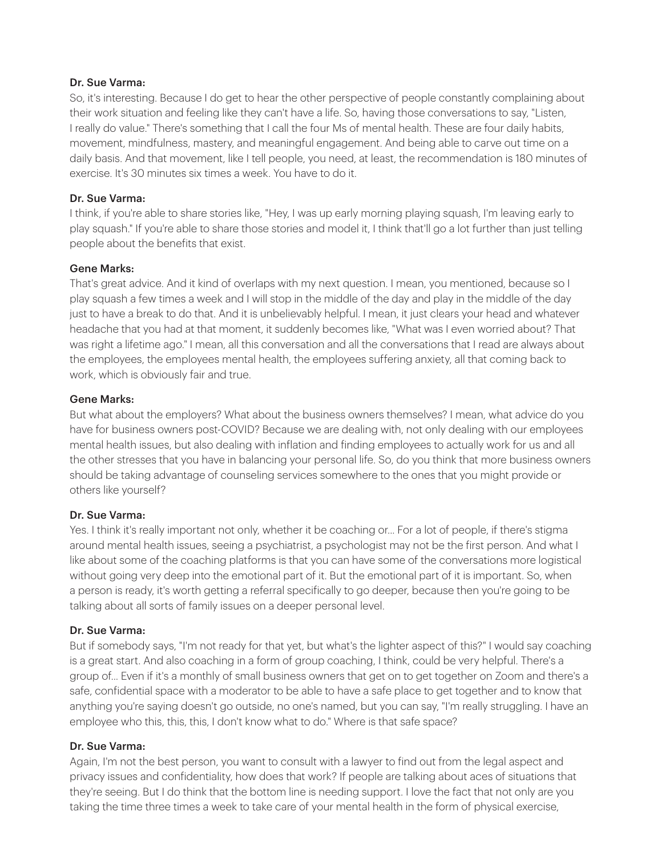So, it's interesting. Because I do get to hear the other perspective of people constantly complaining about their work situation and feeling like they can't have a life. So, having those conversations to say, "Listen, I really do value." There's something that I call the four Ms of mental health. These are four daily habits, movement, mindfulness, mastery, and meaningful engagement. And being able to carve out time on a daily basis. And that movement, like I tell people, you need, at least, the recommendation is 180 minutes of exercise. It's 30 minutes six times a week. You have to do it.

### Dr. Sue Varma:

I think, if you're able to share stories like, "Hey, I was up early morning playing squash, I'm leaving early to play squash." If you're able to share those stories and model it, I think that'll go a lot further than just telling people about the benefits that exist.

#### Gene Marks:

That's great advice. And it kind of overlaps with my next question. I mean, you mentioned, because so I play squash a few times a week and I will stop in the middle of the day and play in the middle of the day just to have a break to do that. And it is unbelievably helpful. I mean, it just clears your head and whatever headache that you had at that moment, it suddenly becomes like, "What was I even worried about? That was right a lifetime ago." I mean, all this conversation and all the conversations that I read are always about the employees, the employees mental health, the employees suffering anxiety, all that coming back to work, which is obviously fair and true.

### Gene Marks:

But what about the employers? What about the business owners themselves? I mean, what advice do you have for business owners post-COVID? Because we are dealing with, not only dealing with our employees mental health issues, but also dealing with inflation and finding employees to actually work for us and all the other stresses that you have in balancing your personal life. So, do you think that more business owners should be taking advantage of counseling services somewhere to the ones that you might provide or others like yourself?

## Dr. Sue Varma:

Yes. I think it's really important not only, whether it be coaching or... For a lot of people, if there's stigma around mental health issues, seeing a psychiatrist, a psychologist may not be the first person. And what I like about some of the coaching platforms is that you can have some of the conversations more logistical without going very deep into the emotional part of it. But the emotional part of it is important. So, when a person is ready, it's worth getting a referral specifically to go deeper, because then you're going to be talking about all sorts of family issues on a deeper personal level.

#### Dr. Sue Varma:

But if somebody says, "I'm not ready for that yet, but what's the lighter aspect of this?" I would say coaching is a great start. And also coaching in a form of group coaching, I think, could be very helpful. There's a group of... Even if it's a monthly of small business owners that get on to get together on Zoom and there's a safe, confidential space with a moderator to be able to have a safe place to get together and to know that anything you're saying doesn't go outside, no one's named, but you can say, "I'm really struggling. I have an employee who this, this, this, I don't know what to do." Where is that safe space?

## Dr. Sue Varma:

Again, I'm not the best person, you want to consult with a lawyer to find out from the legal aspect and privacy issues and confidentiality, how does that work? If people are talking about aces of situations that they're seeing. But I do think that the bottom line is needing support. I love the fact that not only are you taking the time three times a week to take care of your mental health in the form of physical exercise,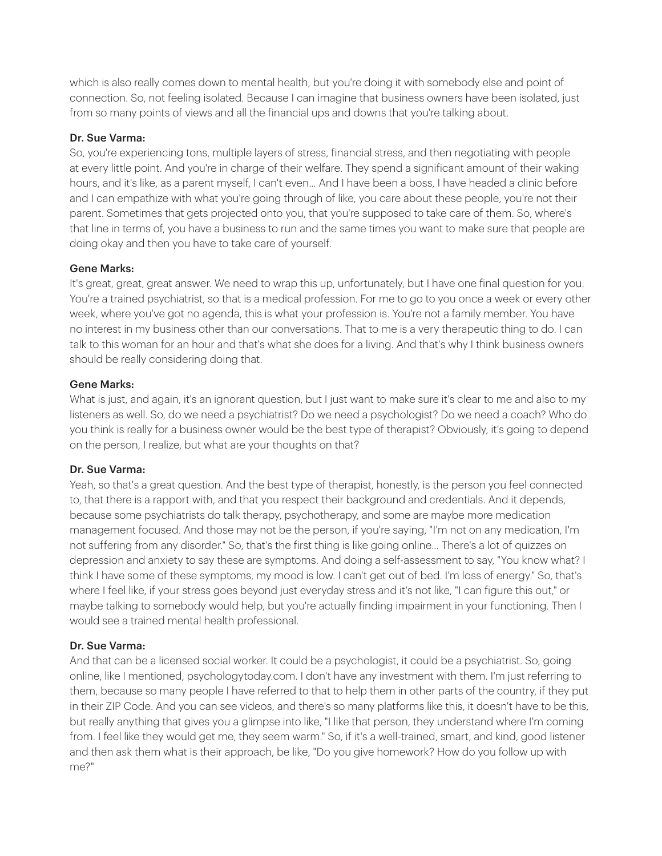which is also really comes down to mental health, but you're doing it with somebody else and point of connection. So, not feeling isolated. Because I can imagine that business owners have been isolated, just from so many points of views and all the financial ups and downs that you're talking about.

#### Dr. Sue Varma:

So, you're experiencing tons, multiple layers of stress, financial stress, and then negotiating with people at every little point. And you're in charge of their welfare. They spend a significant amount of their waking hours, and it's like, as a parent myself, I can't even... And I have been a boss, I have headed a clinic before and I can empathize with what you're going through of like, you care about these people, you're not their parent. Sometimes that gets projected onto you, that you're supposed to take care of them. So, where's that line in terms of, you have a business to run and the same times you want to make sure that people are doing okay and then you have to take care of yourself.

### Gene Marks:

It's great, great, great answer. We need to wrap this up, unfortunately, but I have one final question for you. You're a trained psychiatrist, so that is a medical profession. For me to go to you once a week or every other week, where you've got no agenda, this is what your profession is. You're not a family member. You have no interest in my business other than our conversations. That to me is a very therapeutic thing to do. I can talk to this woman for an hour and that's what she does for a living. And that's why I think business owners should be really considering doing that.

#### Gene Marks:

What is just, and again, it's an ignorant question, but I just want to make sure it's clear to me and also to my listeners as well. So, do we need a psychiatrist? Do we need a psychologist? Do we need a coach? Who do you think is really for a business owner would be the best type of therapist? Obviously, it's going to depend on the person, I realize, but what are your thoughts on that?

#### Dr. Sue Varma:

Yeah, so that's a great question. And the best type of therapist, honestly, is the person you feel connected to, that there is a rapport with, and that you respect their background and credentials. And it depends, because some psychiatrists do talk therapy, psychotherapy, and some are maybe more medication management focused. And those may not be the person, if you're saying, "I'm not on any medication, I'm not suffering from any disorder." So, that's the first thing is like going online... There's a lot of quizzes on depression and anxiety to say these are symptoms. And doing a self-assessment to say, "You know what? I think I have some of these symptoms, my mood is low. I can't get out of bed. I'm loss of energy." So, that's where I feel like, if your stress goes beyond just everyday stress and it's not like, "I can figure this out," or maybe talking to somebody would help, but you're actually finding impairment in your functioning. Then I would see a trained mental health professional.

## Dr. Sue Varma:

And that can be a licensed social worker. It could be a psychologist, it could be a psychiatrist. So, going online, like I mentioned, psychologytoday.com. I don't have any investment with them. I'm just referring to them, because so many people I have referred to that to help them in other parts of the country, if they put in their ZIP Code. And you can see videos, and there's so many platforms like this, it doesn't have to be this, but really anything that gives you a glimpse into like, "I like that person, they understand where I'm coming from. I feel like they would get me, they seem warm." So, if it's a well-trained, smart, and kind, good listener and then ask them what is their approach, be like, "Do you give homework? How do you follow up with me?"